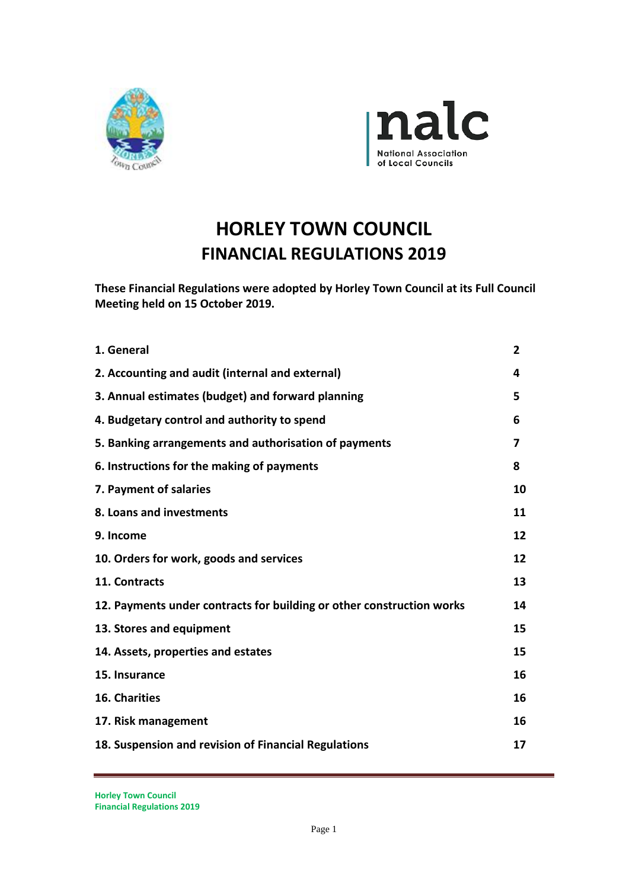



# **HORLEY TOWN COUNCIL FINANCIAL REGULATIONS 2019**

**These Financial Regulations were adopted by Horley Town Council at its Full Council Meeting held on 15 October 2019.**

| 1. General                                                            | $\overline{2}$ |
|-----------------------------------------------------------------------|----------------|
| 2. Accounting and audit (internal and external)                       | 4              |
| 3. Annual estimates (budget) and forward planning                     | 5              |
| 4. Budgetary control and authority to spend                           | 6              |
| 5. Banking arrangements and authorisation of payments                 | 7              |
| 6. Instructions for the making of payments                            | 8              |
| 7. Payment of salaries                                                | 10             |
| 8. Loans and investments                                              | 11             |
| 9. Income                                                             | 12             |
| 10. Orders for work, goods and services                               | 12             |
| 11. Contracts                                                         | 13             |
| 12. Payments under contracts for building or other construction works | 14             |
| 13. Stores and equipment                                              | 15             |
| 14. Assets, properties and estates                                    | 15             |
| 15. Insurance                                                         | 16             |
| 16. Charities                                                         | 16             |
| 17. Risk management                                                   | 16             |
| 18. Suspension and revision of Financial Regulations                  | 17             |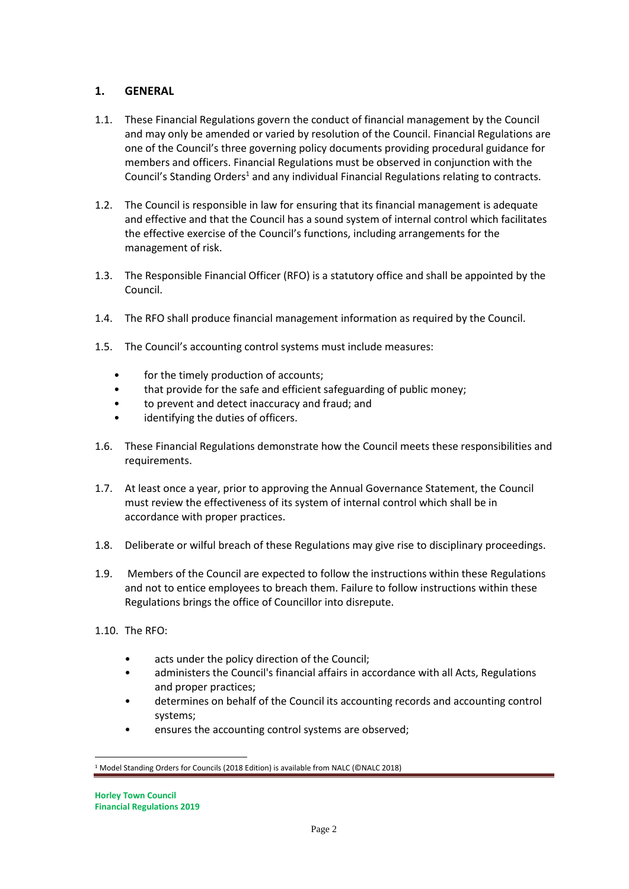# **1. GENERAL**

- 1.1. These Financial Regulations govern the conduct of financial management by the Council and may only be amended or varied by resolution of the Council. Financial Regulations are one of the Council's three governing policy documents providing procedural guidance for members and officers. Financial Regulations must be observed in conjunction with the Council's Standing Orders<sup>1</sup> and any individual Financial Regulations relating to contracts.
- 1.2. The Council is responsible in law for ensuring that its financial management is adequate and effective and that the Council has a sound system of internal control which facilitates the effective exercise of the Council's functions, including arrangements for the management of risk.
- 1.3. The Responsible Financial Officer (RFO) is a statutory office and shall be appointed by the Council.
- 1.4. The RFO shall produce financial management information as required by the Council.
- 1.5. The Council's accounting control systems must include measures:
	- for the timely production of accounts;
	- that provide for the safe and efficient safeguarding of public money;
	- to prevent and detect inaccuracy and fraud; and
	- identifying the duties of officers.
- 1.6. These Financial Regulations demonstrate how the Council meets these responsibilities and requirements.
- 1.7. At least once a year, prior to approving the Annual Governance Statement, the Council must review the effectiveness of its system of internal control which shall be in accordance with proper practices.
- 1.8. Deliberate or wilful breach of these Regulations may give rise to disciplinary proceedings.
- 1.9. Members of the Council are expected to follow the instructions within these Regulations and not to entice employees to breach them. Failure to follow instructions within these Regulations brings the office of Councillor into disrepute.
- 1.10. The RFO:
	- acts under the policy direction of the Council;
	- administers the Council's financial affairs in accordance with all Acts, Regulations and proper practices;
	- determines on behalf of the Council its accounting records and accounting control systems;
	- ensures the accounting control systems are observed;

<sup>1</sup> Model Standing Orders for Councils (2018 Edition) is available from NALC (©NALC 2018)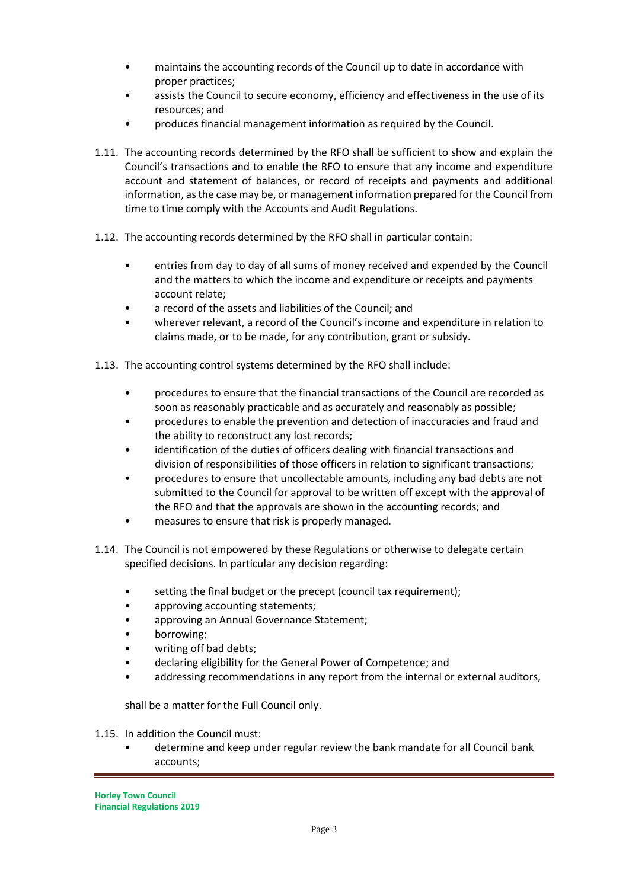- maintains the accounting records of the Council up to date in accordance with proper practices;
- assists the Council to secure economy, efficiency and effectiveness in the use of its resources; and
- produces financial management information as required by the Council.
- 1.11. The accounting records determined by the RFO shall be sufficient to show and explain the Council's transactions and to enable the RFO to ensure that any income and expenditure account and statement of balances, or record of receipts and payments and additional information, as the case may be, or management information prepared for the Council from time to time comply with the Accounts and Audit Regulations.
- 1.12. The accounting records determined by the RFO shall in particular contain:
	- entries from day to day of all sums of money received and expended by the Council and the matters to which the income and expenditure or receipts and payments account relate;
	- a record of the assets and liabilities of the Council; and
	- wherever relevant, a record of the Council's income and expenditure in relation to claims made, or to be made, for any contribution, grant or subsidy.
- 1.13. The accounting control systems determined by the RFO shall include:
	- procedures to ensure that the financial transactions of the Council are recorded as soon as reasonably practicable and as accurately and reasonably as possible;
	- procedures to enable the prevention and detection of inaccuracies and fraud and the ability to reconstruct any lost records;
	- identification of the duties of officers dealing with financial transactions and division of responsibilities of those officers in relation to significant transactions;
	- procedures to ensure that uncollectable amounts, including any bad debts are not submitted to the Council for approval to be written off except with the approval of the RFO and that the approvals are shown in the accounting records; and
	- measures to ensure that risk is properly managed.
- 1.14. The Council is not empowered by these Regulations or otherwise to delegate certain specified decisions. In particular any decision regarding:
	- setting the final budget or the precept (council tax requirement);
	- approving accounting statements;
	- approving an Annual Governance Statement;
	- borrowing;
	- writing off bad debts;
	- declaring eligibility for the General Power of Competence; and
	- addressing recommendations in any report from the internal or external auditors,

shall be a matter for the Full Council only.

- 1.15. In addition the Council must:
	- determine and keep under regular review the bank mandate for all Council bank accounts;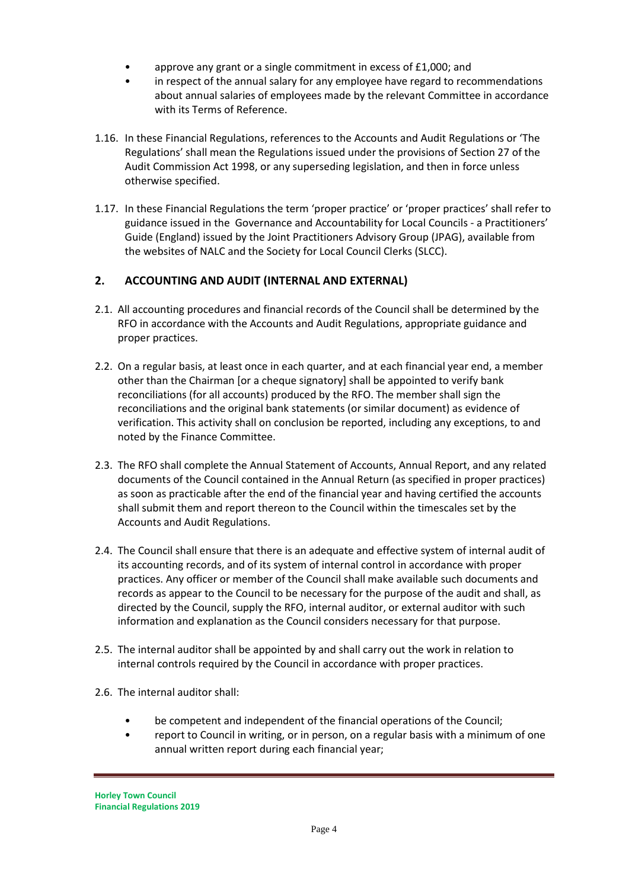- approve any grant or a single commitment in excess of £1,000; and
- in respect of the annual salary for any employee have regard to recommendations about annual salaries of employees made by the relevant Committee in accordance with its Terms of Reference.
- 1.16. In these Financial Regulations, references to the Accounts and Audit Regulations or 'The Regulations' shall mean the Regulations issued under the provisions of Section 27 of the Audit Commission Act 1998, or any superseding legislation, and then in force unless otherwise specified.
- 1.17. In these Financial Regulations the term 'proper practice' or 'proper practices' shall refer to guidance issued in the Governance and Accountability for Local Councils - a Practitioners' Guide (England) issued by the Joint Practitioners Advisory Group (JPAG), available from the websites of NALC and the Society for Local Council Clerks (SLCC).

# **2. ACCOUNTING AND AUDIT (INTERNAL AND EXTERNAL)**

- 2.1. All accounting procedures and financial records of the Council shall be determined by the RFO in accordance with the Accounts and Audit Regulations, appropriate guidance and proper practices.
- 2.2. On a regular basis, at least once in each quarter, and at each financial year end, a member other than the Chairman [or a cheque signatory] shall be appointed to verify bank reconciliations (for all accounts) produced by the RFO. The member shall sign the reconciliations and the original bank statements (or similar document) as evidence of verification. This activity shall on conclusion be reported, including any exceptions, to and noted by the Finance Committee.
- 2.3. The RFO shall complete the Annual Statement of Accounts, Annual Report, and any related documents of the Council contained in the Annual Return (as specified in proper practices) as soon as practicable after the end of the financial year and having certified the accounts shall submit them and report thereon to the Council within the timescales set by the Accounts and Audit Regulations.
- 2.4. The Council shall ensure that there is an adequate and effective system of internal audit of its accounting records, and of its system of internal control in accordance with proper practices. Any officer or member of the Council shall make available such documents and records as appear to the Council to be necessary for the purpose of the audit and shall, as directed by the Council, supply the RFO, internal auditor, or external auditor with such information and explanation as the Council considers necessary for that purpose.
- 2.5. The internal auditor shall be appointed by and shall carry out the work in relation to internal controls required by the Council in accordance with proper practices.
- 2.6. The internal auditor shall:
	- be competent and independent of the financial operations of the Council;
	- report to Council in writing, or in person, on a regular basis with a minimum of one annual written report during each financial year;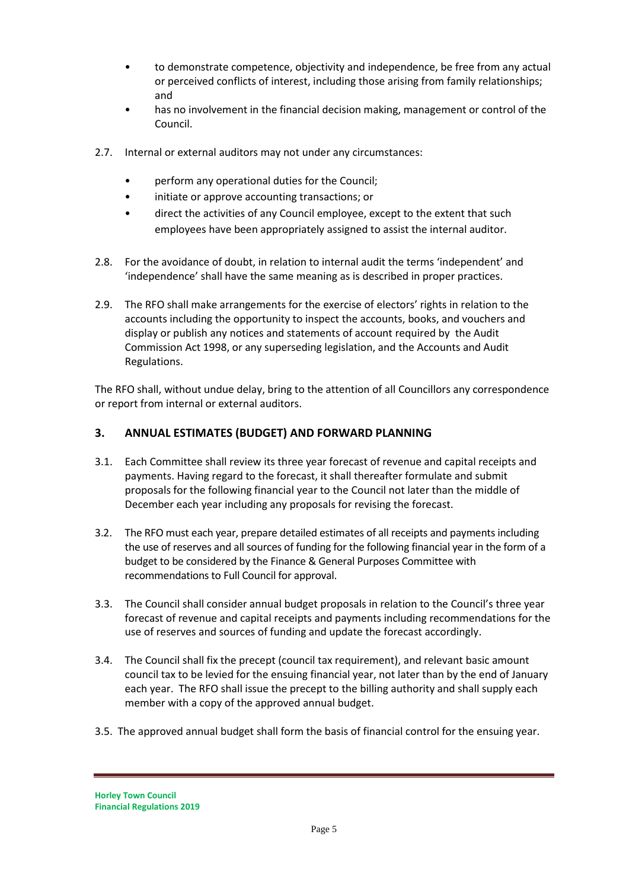- to demonstrate competence, objectivity and independence, be free from any actual or perceived conflicts of interest, including those arising from family relationships; and
- has no involvement in the financial decision making, management or control of the Council.
- 2.7. Internal or external auditors may not under any circumstances:
	- perform any operational duties for the Council;
	- initiate or approve accounting transactions; or
	- direct the activities of any Council employee, except to the extent that such employees have been appropriately assigned to assist the internal auditor.
- 2.8. For the avoidance of doubt, in relation to internal audit the terms 'independent' and 'independence' shall have the same meaning as is described in proper practices.
- 2.9. The RFO shall make arrangements for the exercise of electors' rights in relation to the accounts including the opportunity to inspect the accounts, books, and vouchers and display or publish any notices and statements of account required by the Audit Commission Act 1998, or any superseding legislation, and the Accounts and Audit Regulations.

The RFO shall, without undue delay, bring to the attention of all Councillors any correspondence or report from internal or external auditors.

# **3. ANNUAL ESTIMATES (BUDGET) AND FORWARD PLANNING**

- 3.1. Each Committee shall review its three year forecast of revenue and capital receipts and payments. Having regard to the forecast, it shall thereafter formulate and submit proposals for the following financial year to the Council not later than the middle of December each year including any proposals for revising the forecast.
- 3.2. The RFO must each year, prepare detailed estimates of all receipts and payments including the use of reserves and all sources of funding for the following financial year in the form of a budget to be considered by the Finance & General Purposes Committee with recommendations to Full Council for approval.
- 3.3. The Council shall consider annual budget proposals in relation to the Council's three year forecast of revenue and capital receipts and payments including recommendations for the use of reserves and sources of funding and update the forecast accordingly.
- 3.4. The Council shall fix the precept (council tax requirement), and relevant basic amount council tax to be levied for the ensuing financial year, not later than by the end of January each year. The RFO shall issue the precept to the billing authority and shall supply each member with a copy of the approved annual budget.
- 3.5. The approved annual budget shall form the basis of financial control for the ensuing year.

**Horley Town Council Financial Regulations 2019**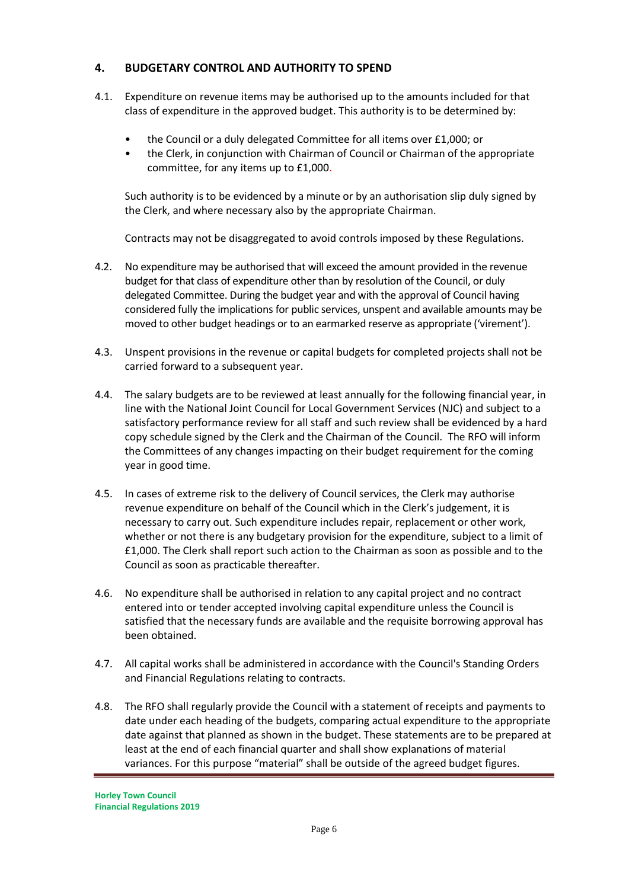# **4. BUDGETARY CONTROL AND AUTHORITY TO SPEND**

- 4.1. Expenditure on revenue items may be authorised up to the amounts included for that class of expenditure in the approved budget. This authority is to be determined by:
	- the Council or a duly delegated Committee for all items over £1,000; or
	- the Clerk, in conjunction with Chairman of Council or Chairman of the appropriate committee, for any items up to £1,000.

Such authority is to be evidenced by a minute or by an authorisation slip duly signed by the Clerk, and where necessary also by the appropriate Chairman.

Contracts may not be disaggregated to avoid controls imposed by these Regulations.

- 4.2. No expenditure may be authorised that will exceed the amount provided in the revenue budget for that class of expenditure other than by resolution of the Council, or duly delegated Committee. During the budget year and with the approval of Council having considered fully the implications for public services, unspent and available amounts may be moved to other budget headings or to an earmarked reserve as appropriate ('virement').
- 4.3. Unspent provisions in the revenue or capital budgets for completed projects shall not be carried forward to a subsequent year.
- 4.4. The salary budgets are to be reviewed at least annually for the following financial year, in line with the National Joint Council for Local Government Services (NJC) and subject to a satisfactory performance review for all staff and such review shall be evidenced by a hard copy schedule signed by the Clerk and the Chairman of the Council. The RFO will inform the Committees of any changes impacting on their budget requirement for the coming year in good time.
- 4.5. In cases of extreme risk to the delivery of Council services, the Clerk may authorise revenue expenditure on behalf of the Council which in the Clerk's judgement, it is necessary to carry out. Such expenditure includes repair, replacement or other work, whether or not there is any budgetary provision for the expenditure, subject to a limit of £1,000. The Clerk shall report such action to the Chairman as soon as possible and to the Council as soon as practicable thereafter.
- 4.6. No expenditure shall be authorised in relation to any capital project and no contract entered into or tender accepted involving capital expenditure unless the Council is satisfied that the necessary funds are available and the requisite borrowing approval has been obtained.
- 4.7. All capital works shall be administered in accordance with the Council's Standing Orders and Financial Regulations relating to contracts.
- 4.8. The RFO shall regularly provide the Council with a statement of receipts and payments to date under each heading of the budgets, comparing actual expenditure to the appropriate date against that planned as shown in the budget. These statements are to be prepared at least at the end of each financial quarter and shall show explanations of material variances. For this purpose "material" shall be outside of the agreed budget figures.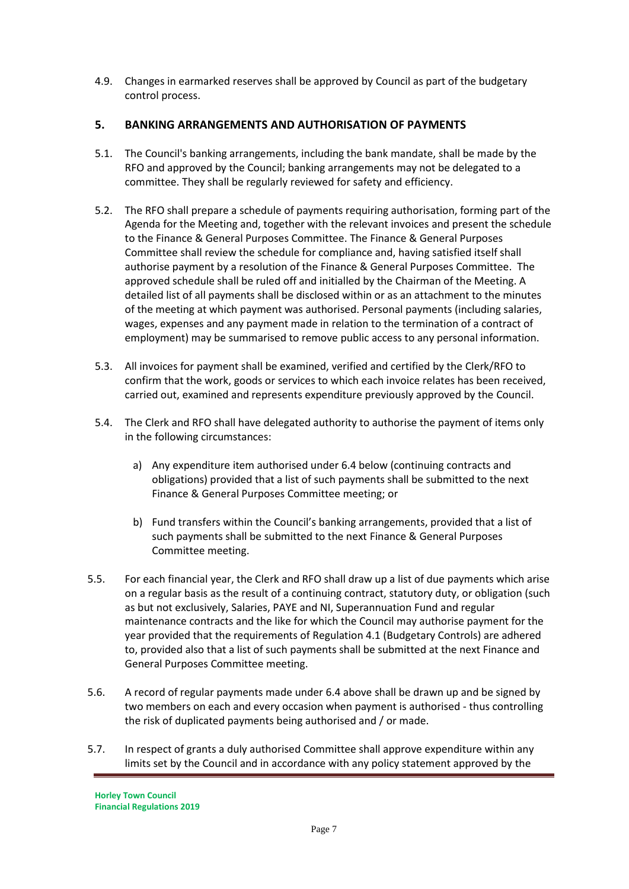4.9. Changes in earmarked reserves shall be approved by Council as part of the budgetary control process.

# **5. BANKING ARRANGEMENTS AND AUTHORISATION OF PAYMENTS**

- 5.1. The Council's banking arrangements, including the bank mandate, shall be made by the RFO and approved by the Council; banking arrangements may not be delegated to a committee. They shall be regularly reviewed for safety and efficiency.
- 5.2. The RFO shall prepare a schedule of payments requiring authorisation, forming part of the Agenda for the Meeting and, together with the relevant invoices and present the schedule to the Finance & General Purposes Committee. The Finance & General Purposes Committee shall review the schedule for compliance and, having satisfied itself shall authorise payment by a resolution of the Finance & General Purposes Committee. The approved schedule shall be ruled off and initialled by the Chairman of the Meeting. A detailed list of all payments shall be disclosed within or as an attachment to the minutes of the meeting at which payment was authorised. Personal payments (including salaries, wages, expenses and any payment made in relation to the termination of a contract of employment) may be summarised to remove public access to any personal information.
- 5.3. All invoices for payment shall be examined, verified and certified by the Clerk/RFO to confirm that the work, goods or services to which each invoice relates has been received, carried out, examined and represents expenditure previously approved by the Council.
- 5.4. The Clerk and RFO shall have delegated authority to authorise the payment of items only in the following circumstances:
	- a) Any expenditure item authorised under 6.4 below (continuing contracts and obligations) provided that a list of such payments shall be submitted to the next Finance & General Purposes Committee meeting; or
	- b) Fund transfers within the Council's banking arrangements, provided that a list of such payments shall be submitted to the next Finance & General Purposes Committee meeting.
- 5.5. For each financial year, the Clerk and RFO shall draw up a list of due payments which arise on a regular basis as the result of a continuing contract, statutory duty, or obligation (such as but not exclusively, Salaries, PAYE and NI, Superannuation Fund and regular maintenance contracts and the like for which the Council may authorise payment for the year provided that the requirements of Regulation 4.1 (Budgetary Controls) are adhered to, provided also that a list of such payments shall be submitted at the next Finance and General Purposes Committee meeting.
- 5.6. A record of regular payments made under 6.4 above shall be drawn up and be signed by two members on each and every occasion when payment is authorised - thus controlling the risk of duplicated payments being authorised and / or made.
- 5.7. In respect of grants a duly authorised Committee shall approve expenditure within any limits set by the Council and in accordance with any policy statement approved by the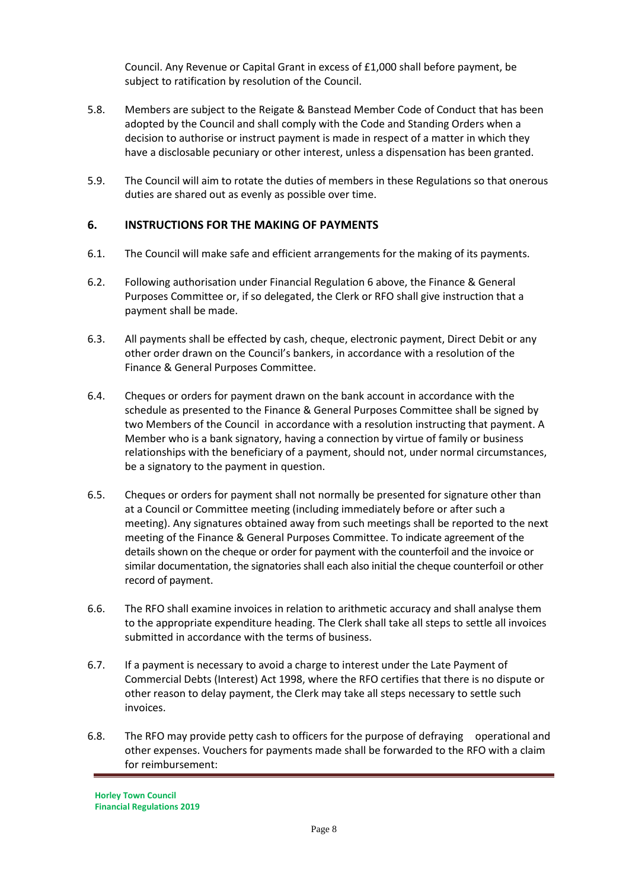Council. Any Revenue or Capital Grant in excess of £1,000 shall before payment, be subject to ratification by resolution of the Council.

- 5.8. Members are subject to the Reigate & Banstead Member Code of Conduct that has been adopted by the Council and shall comply with the Code and Standing Orders when a decision to authorise or instruct payment is made in respect of a matter in which they have a disclosable pecuniary or other interest, unless a dispensation has been granted.
- 5.9. The Council will aim to rotate the duties of members in these Regulations so that onerous duties are shared out as evenly as possible over time.

#### **6. INSTRUCTIONS FOR THE MAKING OF PAYMENTS**

- 6.1. The Council will make safe and efficient arrangements for the making of its payments.
- 6.2. Following authorisation under Financial Regulation 6 above, the Finance & General Purposes Committee or, if so delegated, the Clerk or RFO shall give instruction that a payment shall be made.
- 6.3. All payments shall be effected by cash, cheque, electronic payment, Direct Debit or any other order drawn on the Council's bankers, in accordance with a resolution of the Finance & General Purposes Committee.
- 6.4. Cheques or orders for payment drawn on the bank account in accordance with the schedule as presented to the Finance & General Purposes Committee shall be signed by two Members of the Council in accordance with a resolution instructing that payment. A Member who is a bank signatory, having a connection by virtue of family or business relationships with the beneficiary of a payment, should not, under normal circumstances, be a signatory to the payment in question.
- 6.5. Cheques or orders for payment shall not normally be presented for signature other than at a Council or Committee meeting (including immediately before or after such a meeting). Any signatures obtained away from such meetings shall be reported to the next meeting of the Finance & General Purposes Committee. To indicate agreement of the details shown on the cheque or order for payment with the counterfoil and the invoice or similar documentation, the signatories shall each also initial the cheque counterfoil or other record of payment.
- 6.6. The RFO shall examine invoices in relation to arithmetic accuracy and shall analyse them to the appropriate expenditure heading. The Clerk shall take all steps to settle all invoices submitted in accordance with the terms of business.
- 6.7. If a payment is necessary to avoid a charge to interest under the Late Payment of Commercial Debts (Interest) Act 1998, where the RFO certifies that there is no dispute or other reason to delay payment, the Clerk may take all steps necessary to settle such invoices.
- 6.8. The RFO may provide petty cash to officers for the purpose of defraying operational and other expenses. Vouchers for payments made shall be forwarded to the RFO with a claim for reimbursement: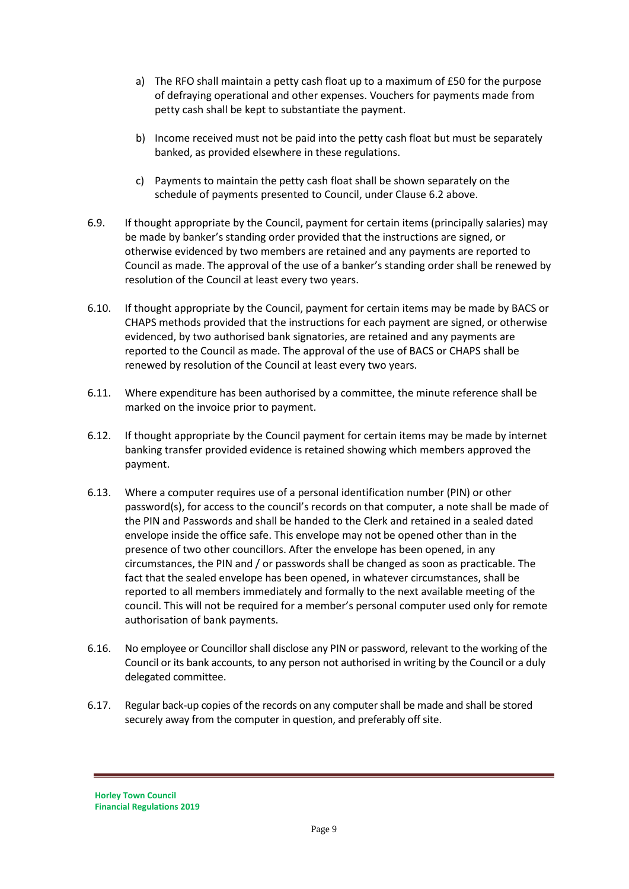- a) The RFO shall maintain a petty cash float up to a maximum of £50 for the purpose of defraying operational and other expenses. Vouchers for payments made from petty cash shall be kept to substantiate the payment.
- b) Income received must not be paid into the petty cash float but must be separately banked, as provided elsewhere in these regulations.
- c) Payments to maintain the petty cash float shall be shown separately on the schedule of payments presented to Council, under Clause 6.2 above.
- 6.9. If thought appropriate by the Council, payment for certain items (principally salaries) may be made by banker's standing order provided that the instructions are signed, or otherwise evidenced by two members are retained and any payments are reported to Council as made. The approval of the use of a banker's standing order shall be renewed by resolution of the Council at least every two years.
- 6.10. If thought appropriate by the Council, payment for certain items may be made by BACS or CHAPS methods provided that the instructions for each payment are signed, or otherwise evidenced, by two authorised bank signatories, are retained and any payments are reported to the Council as made. The approval of the use of BACS or CHAPS shall be renewed by resolution of the Council at least every two years.
- 6.11. Where expenditure has been authorised by a committee, the minute reference shall be marked on the invoice prior to payment.
- 6.12. If thought appropriate by the Council payment for certain items may be made by internet banking transfer provided evidence is retained showing which members approved the payment.
- 6.13. Where a computer requires use of a personal identification number (PIN) or other password(s), for access to the council's records on that computer, a note shall be made of the PIN and Passwords and shall be handed to the Clerk and retained in a sealed dated envelope inside the office safe. This envelope may not be opened other than in the presence of two other councillors. After the envelope has been opened, in any circumstances, the PIN and / or passwords shall be changed as soon as practicable. The fact that the sealed envelope has been opened, in whatever circumstances, shall be reported to all members immediately and formally to the next available meeting of the council. This will not be required for a member's personal computer used only for remote authorisation of bank payments.
- 6.16. No employee or Councillor shall disclose any PIN or password, relevant to the working of the Council or its bank accounts, to any person not authorised in writing by the Council or a duly delegated committee.
- 6.17. Regular back-up copies of the records on any computer shall be made and shall be stored securely away from the computer in question, and preferably off site.

**Horley Town Council Financial Regulations 2019**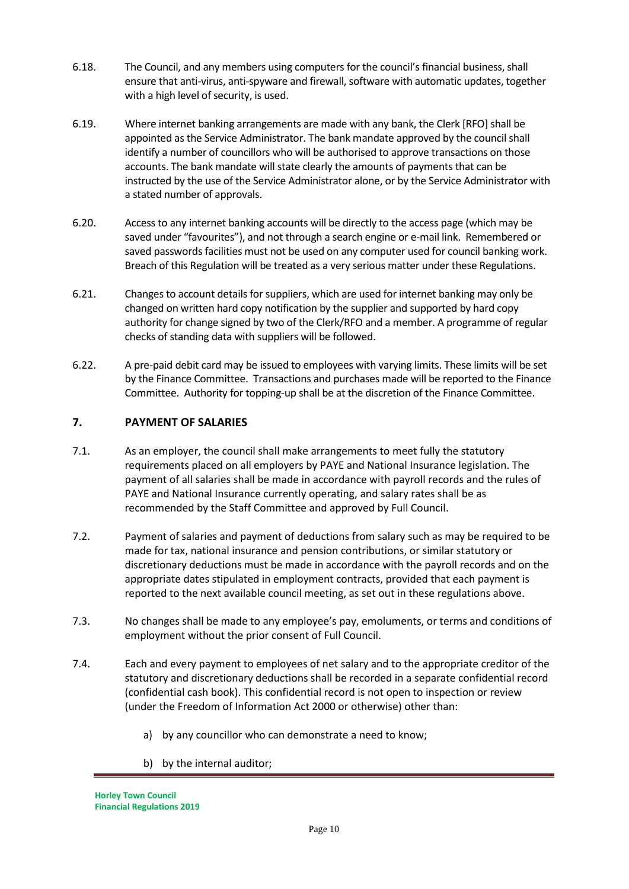- 6.18. The Council, and any members using computers for the council's financial business, shall ensure that anti-virus, anti-spyware and firewall, software with automatic updates, together with a high level of security, is used.
- 6.19. Where internet banking arrangements are made with any bank, the Clerk [RFO] shall be appointed as the Service Administrator. The bank mandate approved by the council shall identify a number of councillors who will be authorised to approve transactions on those accounts. The bank mandate will state clearly the amounts of payments that can be instructed by the use of the Service Administrator alone, or by the Service Administrator with a stated number of approvals.
- 6.20. Access to any internet banking accounts will be directly to the access page (which may be saved under "favourites"), and not through a search engine or e-mail link. Remembered or saved passwords facilities must not be used on any computer used for council banking work. Breach of this Regulation will be treated as a very serious matter under these Regulations.
- 6.21. Changes to account details for suppliers, which are used for internet banking may only be changed on written hard copy notification by the supplier and supported by hard copy authority for change signed by two of the Clerk/RFO and a member. A programme of regular checks of standing data with suppliers will be followed.
- 6.22. A pre-paid debit card may be issued to employees with varying limits. These limits will be set by the Finance Committee. Transactions and purchases made will be reported to the Finance Committee. Authority for topping-up shall be at the discretion of the Finance Committee.

#### **7. PAYMENT OF SALARIES**

- 7.1. As an employer, the council shall make arrangements to meet fully the statutory requirements placed on all employers by PAYE and National Insurance legislation. The payment of all salaries shall be made in accordance with payroll records and the rules of PAYE and National Insurance currently operating, and salary rates shall be as recommended by the Staff Committee and approved by Full Council.
- 7.2. Payment of salaries and payment of deductions from salary such as may be required to be made for tax, national insurance and pension contributions, or similar statutory or discretionary deductions must be made in accordance with the payroll records and on the appropriate dates stipulated in employment contracts, provided that each payment is reported to the next available council meeting, as set out in these regulations above.
- 7.3. No changes shall be made to any employee's pay, emoluments, or terms and conditions of employment without the prior consent of Full Council.
- 7.4. Each and every payment to employees of net salary and to the appropriate creditor of the statutory and discretionary deductions shall be recorded in a separate confidential record (confidential cash book). This confidential record is not open to inspection or review (under the Freedom of Information Act 2000 or otherwise) other than:
	- a) by any councillor who can demonstrate a need to know;
	- b) by the internal auditor;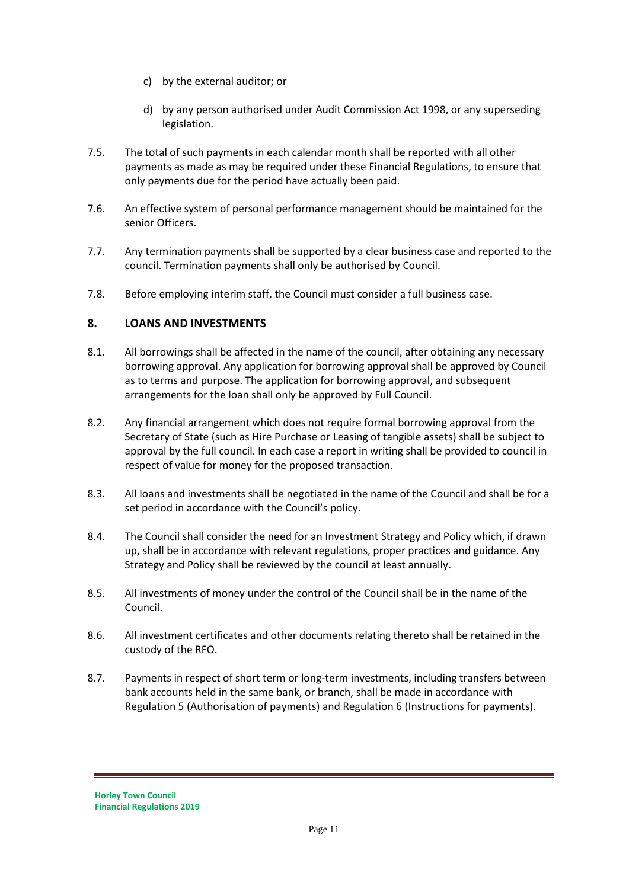- c) by the external auditor; or
- d) by any person authorised under Audit Commission Act 1998, or any superseding legislation.
- 7.5. The total of such payments in each calendar month shall be reported with all other payments as made as may be required under these Financial Regulations, to ensure that only payments due for the period have actually been paid.
- 7.6. An effective system of personal performance management should be maintained for the senior Officers.
- 7.7. Any termination payments shall be supported by a clear business case and reported to the council. Termination payments shall only be authorised by Council.
- 7.8. Before employing interim staff, the Council must consider a full business case.

#### **8. LOANS AND INVESTMENTS**

- 8.1. All borrowings shall be affected in the name of the council, after obtaining any necessary borrowing approval. Any application for borrowing approval shall be approved by Council as to terms and purpose. The application for borrowing approval, and subsequent arrangements for the loan shall only be approved by Full Council.
- 8.2. Any financial arrangement which does not require formal borrowing approval from the Secretary of State (such as Hire Purchase or Leasing of tangible assets) shall be subject to approval by the full council. In each case a report in writing shall be provided to council in respect of value for money for the proposed transaction.
- 8.3. All loans and investments shall be negotiated in the name of the Council and shall be for a set period in accordance with the Council's policy.
- 8.4. The Council shall consider the need for an Investment Strategy and Policy which, if drawn up, shall be in accordance with relevant regulations, proper practices and guidance. Any Strategy and Policy shall be reviewed by the council at least annually.
- 8.5. All investments of money under the control of the Council shall be in the name of the Council.
- 8.6. All investment certificates and other documents relating thereto shall be retained in the custody of the RFO.
- 8.7. Payments in respect of short term or long-term investments, including transfers between bank accounts held in the same bank, or branch, shall be made in accordance with Regulation 5 (Authorisation of payments) and Regulation 6 (Instructions for payments).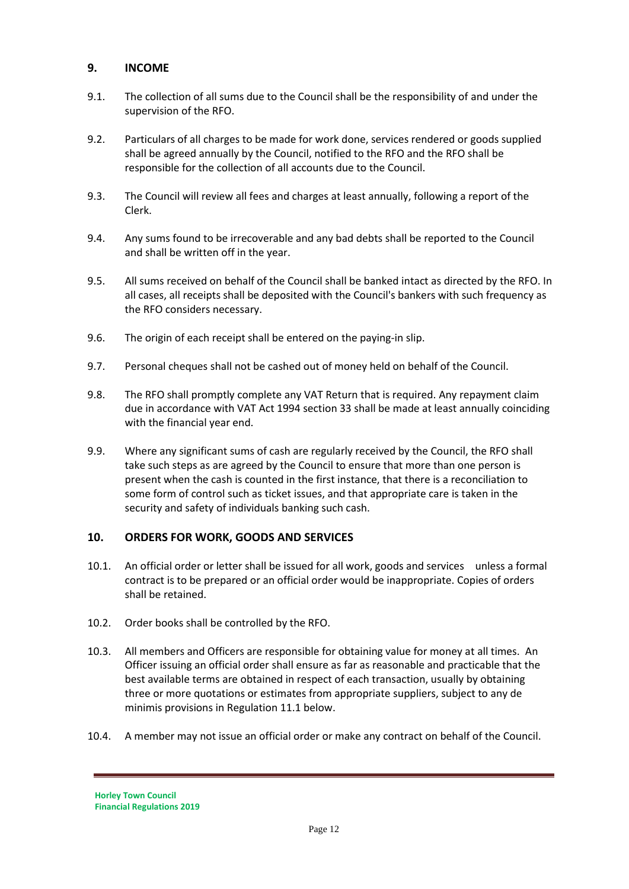#### **9. INCOME**

- 9.1. The collection of all sums due to the Council shall be the responsibility of and under the supervision of the RFO.
- 9.2. Particulars of all charges to be made for work done, services rendered or goods supplied shall be agreed annually by the Council, notified to the RFO and the RFO shall be responsible for the collection of all accounts due to the Council.
- 9.3. The Council will review all fees and charges at least annually, following a report of the Clerk.
- 9.4. Any sums found to be irrecoverable and any bad debts shall be reported to the Council and shall be written off in the year.
- 9.5. All sums received on behalf of the Council shall be banked intact as directed by the RFO. In all cases, all receipts shall be deposited with the Council's bankers with such frequency as the RFO considers necessary.
- 9.6. The origin of each receipt shall be entered on the paying-in slip.
- 9.7. Personal cheques shall not be cashed out of money held on behalf of the Council.
- 9.8. The RFO shall promptly complete any VAT Return that is required. Any repayment claim due in accordance with VAT Act 1994 section 33 shall be made at least annually coinciding with the financial year end.
- 9.9. Where any significant sums of cash are regularly received by the Council, the RFO shall take such steps as are agreed by the Council to ensure that more than one person is present when the cash is counted in the first instance, that there is a reconciliation to some form of control such as ticket issues, and that appropriate care is taken in the security and safety of individuals banking such cash.

#### **10. ORDERS FOR WORK, GOODS AND SERVICES**

- 10.1. An official order or letter shall be issued for all work, goods and services unless a formal contract is to be prepared or an official order would be inappropriate. Copies of orders shall be retained.
- 10.2. Order books shall be controlled by the RFO.
- 10.3. All members and Officers are responsible for obtaining value for money at all times. An Officer issuing an official order shall ensure as far as reasonable and practicable that the best available terms are obtained in respect of each transaction, usually by obtaining three or more quotations or estimates from appropriate suppliers, subject to any de minimis provisions in Regulation 11.1 below.
- 10.4. A member may not issue an official order or make any contract on behalf of the Council.

**Horley Town Council Financial Regulations 2019**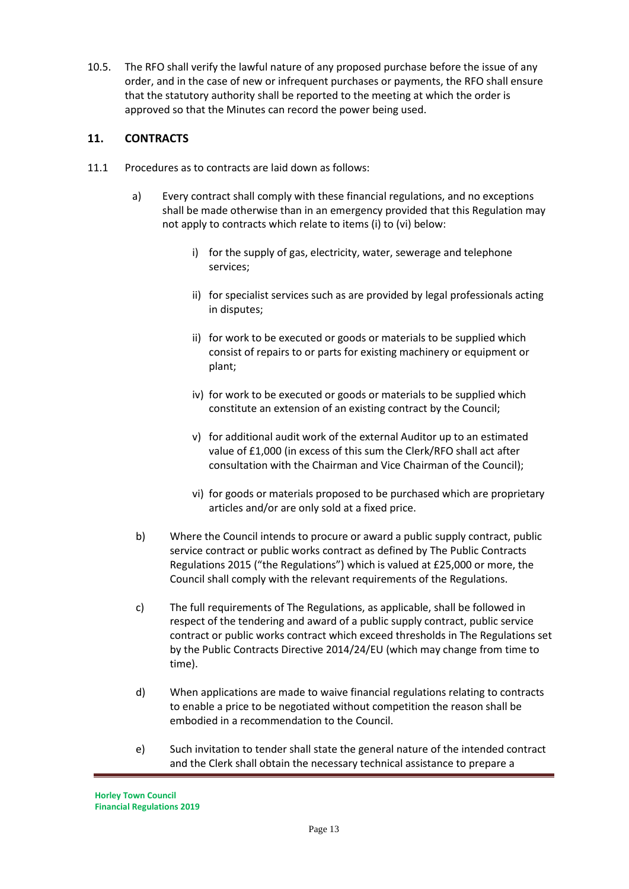10.5. The RFO shall verify the lawful nature of any proposed purchase before the issue of any order, and in the case of new or infrequent purchases or payments, the RFO shall ensure that the statutory authority shall be reported to the meeting at which the order is approved so that the Minutes can record the power being used.

# **11. CONTRACTS**

- 11.1 Procedures as to contracts are laid down as follows:
	- a) Every contract shall comply with these financial regulations, and no exceptions shall be made otherwise than in an emergency provided that this Regulation may not apply to contracts which relate to items (i) to (vi) below:
		- i) for the supply of gas, electricity, water, sewerage and telephone services;
		- ii) for specialist services such as are provided by legal professionals acting in disputes;
		- ii) for work to be executed or goods or materials to be supplied which consist of repairs to or parts for existing machinery or equipment or plant;
		- iv) for work to be executed or goods or materials to be supplied which constitute an extension of an existing contract by the Council;
		- v) for additional audit work of the external Auditor up to an estimated value of £1,000 (in excess of this sum the Clerk/RFO shall act after consultation with the Chairman and Vice Chairman of the Council);
		- vi) for goods or materials proposed to be purchased which are proprietary articles and/or are only sold at a fixed price.
	- b) Where the Council intends to procure or award a public supply contract, public service contract or public works contract as defined by The Public Contracts Regulations 2015 ("the Regulations") which is valued at £25,000 or more, the Council shall comply with the relevant requirements of the Regulations.
	- c) The full requirements of The Regulations, as applicable, shall be followed in respect of the tendering and award of a public supply contract, public service contract or public works contract which exceed thresholds in The Regulations set by the Public Contracts Directive 2014/24/EU (which may change from time to time).
	- d) When applications are made to waive financial regulations relating to contracts to enable a price to be negotiated without competition the reason shall be embodied in a recommendation to the Council.
	- e) Such invitation to tender shall state the general nature of the intended contract and the Clerk shall obtain the necessary technical assistance to prepare a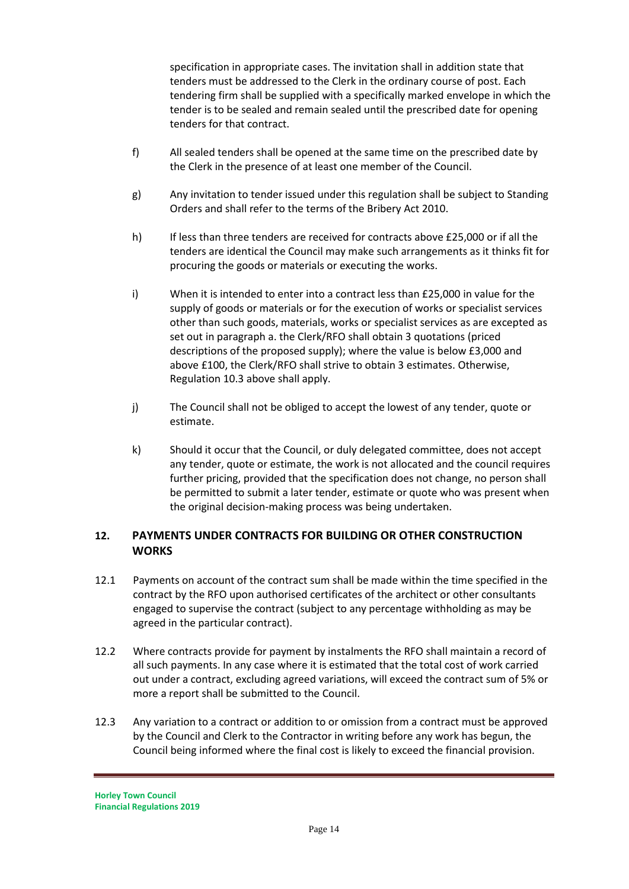specification in appropriate cases. The invitation shall in addition state that tenders must be addressed to the Clerk in the ordinary course of post. Each tendering firm shall be supplied with a specifically marked envelope in which the tender is to be sealed and remain sealed until the prescribed date for opening tenders for that contract.

- f) All sealed tenders shall be opened at the same time on the prescribed date by the Clerk in the presence of at least one member of the Council.
- g) Any invitation to tender issued under this regulation shall be subject to Standing Orders and shall refer to the terms of the Bribery Act 2010.
- h) If less than three tenders are received for contracts above £25,000 or if all the tenders are identical the Council may make such arrangements as it thinks fit for procuring the goods or materials or executing the works.
- i) When it is intended to enter into a contract less than £25,000 in value for the supply of goods or materials or for the execution of works or specialist services other than such goods, materials, works or specialist services as are excepted as set out in paragraph a. the Clerk/RFO shall obtain 3 quotations (priced descriptions of the proposed supply); where the value is below £3,000 and above £100, the Clerk/RFO shall strive to obtain 3 estimates. Otherwise, Regulation 10.3 above shall apply.
- j) The Council shall not be obliged to accept the lowest of any tender, quote or estimate.
- k) Should it occur that the Council, or duly delegated committee, does not accept any tender, quote or estimate, the work is not allocated and the council requires further pricing, provided that the specification does not change, no person shall be permitted to submit a later tender, estimate or quote who was present when the original decision-making process was being undertaken.

# **12. PAYMENTS UNDER CONTRACTS FOR BUILDING OR OTHER CONSTRUCTION WORKS**

- 12.1 Payments on account of the contract sum shall be made within the time specified in the contract by the RFO upon authorised certificates of the architect or other consultants engaged to supervise the contract (subject to any percentage withholding as may be agreed in the particular contract).
- 12.2 Where contracts provide for payment by instalments the RFO shall maintain a record of all such payments. In any case where it is estimated that the total cost of work carried out under a contract, excluding agreed variations, will exceed the contract sum of 5% or more a report shall be submitted to the Council.
- 12.3 Any variation to a contract or addition to or omission from a contract must be approved by the Council and Clerk to the Contractor in writing before any work has begun, the Council being informed where the final cost is likely to exceed the financial provision.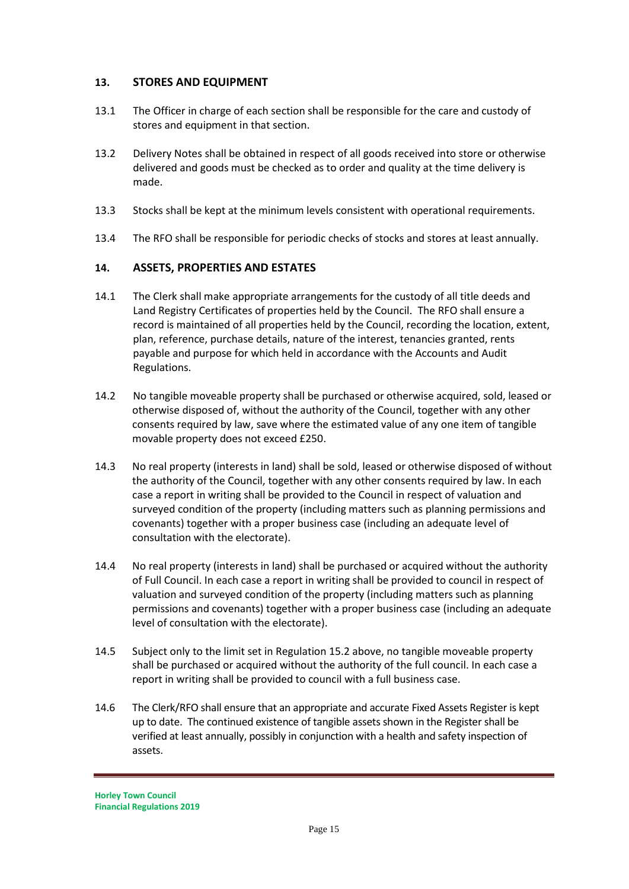#### **13. STORES AND EQUIPMENT**

- 13.1 The Officer in charge of each section shall be responsible for the care and custody of stores and equipment in that section.
- 13.2 Delivery Notes shall be obtained in respect of all goods received into store or otherwise delivered and goods must be checked as to order and quality at the time delivery is made.
- 13.3 Stocks shall be kept at the minimum levels consistent with operational requirements.
- 13.4 The RFO shall be responsible for periodic checks of stocks and stores at least annually.

#### **14. ASSETS, PROPERTIES AND ESTATES**

- 14.1 The Clerk shall make appropriate arrangements for the custody of all title deeds and Land Registry Certificates of properties held by the Council. The RFO shall ensure a record is maintained of all properties held by the Council, recording the location, extent, plan, reference, purchase details, nature of the interest, tenancies granted, rents payable and purpose for which held in accordance with the Accounts and Audit Regulations.
- 14.2 No tangible moveable property shall be purchased or otherwise acquired, sold, leased or otherwise disposed of, without the authority of the Council, together with any other consents required by law, save where the estimated value of any one item of tangible movable property does not exceed £250.
- 14.3 No real property (interests in land) shall be sold, leased or otherwise disposed of without the authority of the Council, together with any other consents required by law. In each case a report in writing shall be provided to the Council in respect of valuation and surveyed condition of the property (including matters such as planning permissions and covenants) together with a proper business case (including an adequate level of consultation with the electorate).
- 14.4 No real property (interests in land) shall be purchased or acquired without the authority of Full Council. In each case a report in writing shall be provided to council in respect of valuation and surveyed condition of the property (including matters such as planning permissions and covenants) together with a proper business case (including an adequate level of consultation with the electorate).
- 14.5 Subject only to the limit set in Regulation 15.2 above, no tangible moveable property shall be purchased or acquired without the authority of the full council. In each case a report in writing shall be provided to council with a full business case.
- 14.6 The Clerk/RFO shall ensure that an appropriate and accurate Fixed Assets Register is kept up to date. The continued existence of tangible assets shown in the Register shall be verified at least annually, possibly in conjunction with a health and safety inspection of assets.

**Horley Town Council Financial Regulations 2019**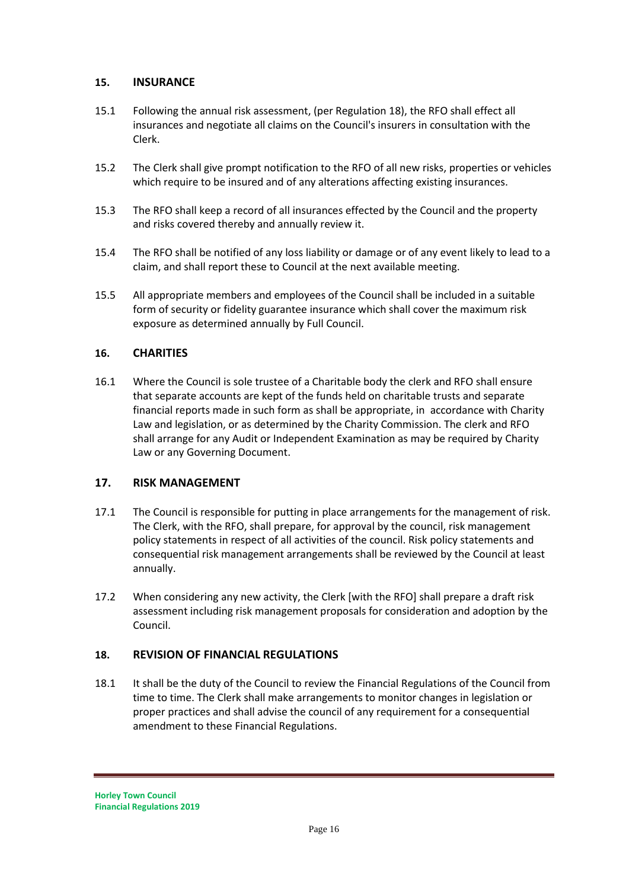#### **15. INSURANCE**

- 15.1 Following the annual risk assessment, (per Regulation 18), the RFO shall effect all insurances and negotiate all claims on the Council's insurers in consultation with the Clerk.
- 15.2 The Clerk shall give prompt notification to the RFO of all new risks, properties or vehicles which require to be insured and of any alterations affecting existing insurances.
- 15.3 The RFO shall keep a record of all insurances effected by the Council and the property and risks covered thereby and annually review it.
- 15.4 The RFO shall be notified of any loss liability or damage or of any event likely to lead to a claim, and shall report these to Council at the next available meeting.
- 15.5 All appropriate members and employees of the Council shall be included in a suitable form of security or fidelity guarantee insurance which shall cover the maximum risk exposure as determined annually by Full Council.

#### **16. CHARITIES**

16.1 Where the Council is sole trustee of a Charitable body the clerk and RFO shall ensure that separate accounts are kept of the funds held on charitable trusts and separate financial reports made in such form as shall be appropriate, in accordance with Charity Law and legislation, or as determined by the Charity Commission. The clerk and RFO shall arrange for any Audit or Independent Examination as may be required by Charity Law or any Governing Document.

#### **17. RISK MANAGEMENT**

- 17.1 The Council is responsible for putting in place arrangements for the management of risk. The Clerk, with the RFO, shall prepare, for approval by the council, risk management policy statements in respect of all activities of the council. Risk policy statements and consequential risk management arrangements shall be reviewed by the Council at least annually.
- 17.2 When considering any new activity, the Clerk [with the RFO] shall prepare a draft risk assessment including risk management proposals for consideration and adoption by the Council.

#### **18. REVISION OF FINANCIAL REGULATIONS**

18.1 It shall be the duty of the Council to review the Financial Regulations of the Council from time to time. The Clerk shall make arrangements to monitor changes in legislation or proper practices and shall advise the council of any requirement for a consequential amendment to these Financial Regulations.